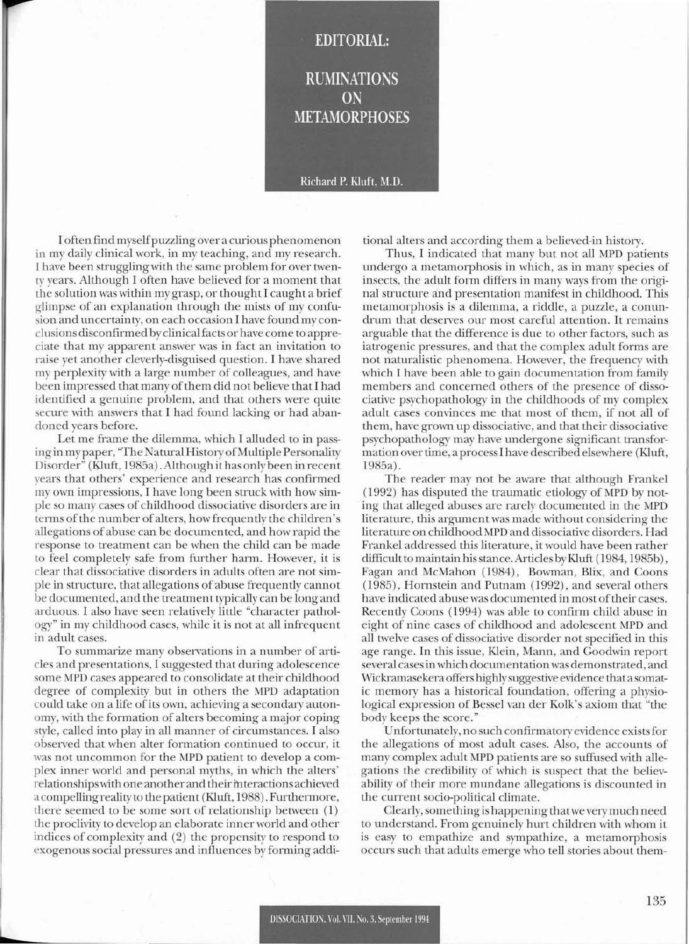## **RUMINATIONS** ON **METAMORPHOSES**

**EDITORIAL:** 

## Richard P. Kluft, M.D.

I often find myselfpuzzling over a curious phenomenon in my daily clinical work, in my teaching, and my research. I have been struggling with the same problem for over twenty years. Although I often have believed for a moment that the solution was within my grasp, or thought I caught a brief glimpse of an explanation through the mists of my confusion and uncertainty, on each occasion I have found my conclusions disconfirmed by clinicalfacts or have come to appreciate that my apparent answer was in fact an invitation to raise yet another cleverly-disguised question. I have shared my perplexity with a large number of colleagues, and have been impressed that many of them did not believe that I had identified a genuine problem, and that others were quite secure with answers that I had found lacking or had abandoned years before.

Let me frame the dilemma, which I alluded to in passing in my paper, "The Natural History of Multiple Personality Disorder" (Eluft, 1985a). Although it has only been in recent years that others' experience and research has confirmed my own impressions, I have long been struck with how simple so many cases of childhood dissociative disorders are in terms of the number of alters, how frequently the children's allegations of abuse can be documented, and how rapid the response to treatment can be when the child can be made to feel completely safe from further harm. However, it is clear that dissociative disorders in adults often are not simple in structure, that allegations of abuse frequently cannot be documented, and the treatment typically can be long and arduous. I also have seen relatively little "character pathology" in my childhood cases, while it is not at all infrequent in adult cases.

To summarize many observations in a number of articles and presentations, I suggested that during adolescence some MPD cases appeared to consolidate at their childhood degree of complexity but in others the MPD adaptation could take on a life of its own, achieving a secondary autonomy, with the formation of alters becoming a major coping style, called into play in all manner of circumstances. I also observed that when alter formation continued to occur, it was not uncommon for the MPD patient to develop a complex inner world and personal myths, in which the alters' relationships with one another and their interactions achieved a compelling reality to the patient (Kluft, 1988). Furthermore, there seemed to be some sort of relationship between (1) the proclivity to develop an elaborate inner world and other indices of complexity and (2) the propensity to respond to exogenous social pressures and influences by forming additional alters and according them a believed-in history.

Thus, I indicated that many but not all MPD patients undergo a metamorphosis in which, as in many species of insects, the adult form differs in many ways from the original structure and presentation manifest in childhood. This metamorphosis is a dilemma, a riddle, a puzzle, a conundrum that deserves our most careful attention. It remains arguable that the difference is due to other factors, such as iatrogenic pressures, and that the complex adult forms are not naturalistic phenomena. However, the frequency with which I have been able to gain documentation from family members and concerned others of the presence of dissociative psychopathology in the childhoods of my complex adult cases convinces me that most of them, if not all of them, have grown up dissociative, and that their dissociative psychopathology may have undergone significant transformation over time, a processI have described elsewhere (Kluft, 1985a).

The reader may not be aware that although Frankel (1992) has disputed the traumatic etiology of MPD by noting that alleged abuses are rarely documented in the MPD literature, this argument was made without considering the literature on childhood MPD and dissociative disorders. Had Frankel addressed this literature, it would have been rather difficult to maintain hisstance. Articles byKluft (1984, 1985b), Fagan and McMahon (1984), Bowman, Blix, and Coons (1985), Hornstein and Putnam (1992), and several others have indicated abuse was documented in most of their cases. Recently Coons (1994) was able to confirm child abuse in eight of nine cases of childhood and adolescent MPD and all twelve cases of dissociative disorder not specified in this age range. In this issue, Klein, Mann, and Goodwin report several casesinwhich documen tation was demonstrated, and Wickramasekera offers highly suggestive evidence that a somatic memory has a historical foundation, offering a physiological expression of Bessel van der Kolk's axiom that "the body keeps the score."

Unfortunately, no such confirmatory evidence existsfor the allegations of most adult cases. Also, the accounts of many complex adult MPD patients are so suffused with allegations the credibility of which is suspect that the believability of their more mundane allegations is discounted in the current socio-political climate.

Clearly,something is happening thatwe verymuch need to understand. From genuinely hurt children with whom it is easy to empathize and sympathize, a metamorphosis occurs such that adults emerge who tell stories about them-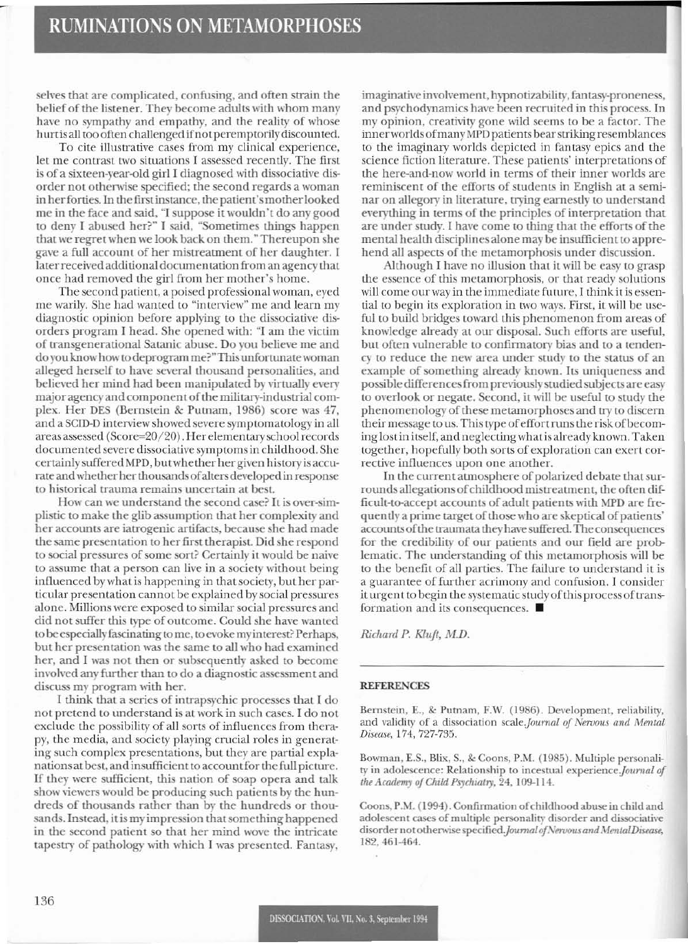selves that are complicated, confusing, and often strain the belief of the listener. They become adults with whom many have no sympathy and empathy, and the reality of whose hurt is all too often challenged if not peremptorily discounted.

To cite illustrative cases from my clinical experience, let me contrast two situations I assessed recently. The first is of a sixteen-year-old girl I diagnosed with dissociative disorder not otherwise specified: the second regards a woman in her forties. In the first instance, the patient's mother looked me in the face and said, "I suppose it wouldn't do any good to deny I abused her?" I said, "Sometimes things happen that we regret when we look back on them." Thereupon she gave a full account of her mistreatment of her daughter. I laterreceivcd additional documentation from an agency that once had removed the girl from her mother's home.

The second patient, a poised professional woman, eyed me warily. She had wanted to "interview" me and learn my diagnostic opinion before applying to the dissociative disorders program I head. She opened with: "1 am the victim of transgenerational Satanic abuse. Do you believe me and do you know how to deprogram me?" This unfortunate woman alleged herself to have several thousand personalities, and believed her mind had been manipulated by virtually every major agency and component of the military-industrial complex. Her DES (Bernstein & Putnam, 1986) score was 47, and a SCID-D interview showed severe symptomatology in all areas assessed (Score=20/20). Her elementary school records documented severe dissociative symptomsin childhood. She certainly suffered MPD, but whether her given history is accurate and whether her thousands of alters developed in response to historical trauma remains uncertain at best.

How can we understand the second case? It is over-simplinic to make the glib assumption that her complexity and her accounts are iatrogenic artifacts, because she had made the same presentation to her first therapist. Did she respond to social pressures of some sort? Certainly it would be naive to assume that a person can live in a society without being influenced by what is happening in that society, but her particular presen tation can not be explained by social pressures alone. Millions were exposed to similar social pressures and did not suffer this type of outcome. Could she have wanted to be especially fascinating to me, to evoke my interest? Perhaps, but her prcsentation was the same to all who had examined her, and I was not then or subsequently asked to become involved any further than to do a diagnostic assessment and discuss my program with her.

I think that a series of intrapsychic processes that I do not pretend to understand is at work in such cases. I do not exclude the possibility of all sorts of influences from therapy, the media, and society playing crucial roles in generating such complex presentations, but they arc partial explanationsat best, and insufficient to account for the full picture. If they were sufficient, this nation of soap opera and talk show viewers would be producing such patients by the hundreds of thousands rather than by the hundreds or thousands. Instead, it is my impression that something happened in the second patient so that her mind wove the intricate tapestry of pathology with which I was presented. Fantasy,

imaginative involvement, hypnotizability, fantasy-proneness, and psychodynamics have been recruited in this process. In my opinion, creativity gone wild seems to be a factor. The inner worlds of many MPD patients bear striking resemblances to the imaginary worlds depicted in fantasy epics and the science fiction literature. These patients' interpretations of the here-and-now world in terms of their inner worlds are reminiscent of the efforts of students in English at a seminar on allegory in literature, trying earnestly to understand everything in terms of the principles of interpretation that are under study. I have come to thing that the efforts of the mental health disciplines alone may be insufficient to apprehend all aspects of the metamorphosis under discussion.

Although I have no illusion that it will be easy to grasp the cssence of this metamorphosis, or that ready solutions will come our way in the immediate future, I think it is essential to begin its exploration in two ways. First, it will be useful to build bridges toward this phenomenon from areas of knowledge already at our disposal. Such efforts are useful, but often vulnerable to confirmatory bias and to a tendency to reduce the new area under study to the status of an cxample of something already known. Its uniqueness and possible differences from previously studied subjects are easy to overlook or negate. Second, it will be useful to study the phenomenology of these metamorphoses and try to discern their message to us. This Iype ofeffort runsthe riskofbecoming lost in itself, and neglectingwhatis already known. Taken together, hopefully both sorts of exploration can exert corrective inlluences upon one another.

In the current atmosphere of polarized debate that surrounds allegations of childhood mistreatment, the often difficult-ta-accept accounts of adult patients \\;th MPD are frequently a prime target of those who are skeptical of patients' accounts of the traumata they have suffered. The consequences for the credibility of our patients and our field are problematic. The understanding of this metamorphosis will be to the benefit of all parties. The failure to understand it is a guarantee of further acrimony and confusion. I consider it urgent to begin the systematic study of this process of transformation and its consequences. ■

*Richard P. Klujt, M.D.*

## **REFERENCES**

Bernstein, E., & Putnam, F.W. (1986). Development, reliability, and validity of a dissociation scale. Journal of Nervous and Mental Disease, 174, 727-735.

Bowman, E.S., Blix, S., & Coons, P.M. (1985). Multiple personality in adolescence: Relationship to incestual experience. Journal of *the Academy of Child Psychiatry,* 24, 109-114.

Coons, P.M. (1994). Confirmation of childhood abuse in child and adolescent cases of multiple personality disorder and dissociative disorder not otherwise specified. Journal of Nervous and Mental Disease, 182,461-464.